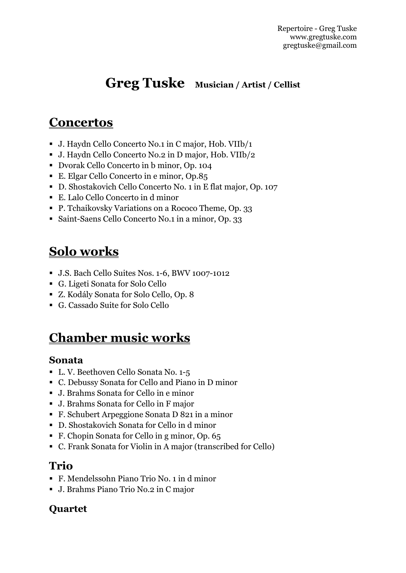# **Greg Tuske Musician / Artist / Cellist**

## **Concertos**

- J. Haydn Cello Concerto No.1 in C major, Hob. VIIb/1
- J. Haydn Cello Concerto No.2 in D major, Hob. VIIb/2
- Dvorak Cello Concerto in b minor, Op. 104
- E. Elgar Cello Concerto in e minor, Op.85
- D. Shostakovich Cello Concerto No. 1 in E flat major, Op. 107
- E. Lalo Cello Concerto in d minor
- P. Tchaikovsky Variations on a Rococo Theme, Op. 33
- Saint-Saens Cello Concerto No.1 in a minor, Op. 33

# **Solo works**

- J.S. Bach Cello Suites Nos. 1-6, BWV 1007-1012
- G. Ligeti Sonata for Solo Cello
- Z. Kodály Sonata for Solo Cello, Op. 8
- G. Cassado Suite for Solo Cello

## **Chamber music works**

#### **Sonata**

- L. V. Beethoven Cello Sonata No. 1-5
- C. Debussy Sonata for Cello and Piano in D minor
- J. Brahms Sonata for Cello in e minor
- J. Brahms Sonata for Cello in F major
- F. Schubert Arpeggione Sonata D 821 in a minor
- D. Shostakovich Sonata for Cello in d minor
- F. Chopin Sonata for Cello in g minor, Op. 65
- C. Frank Sonata for Violin in A major (transcribed for Cello)

### **Trio**

- F. Mendelssohn Piano Trio No. 1 in d minor
- J. Brahms Piano Trio No.2 in C major

#### **Quartet**